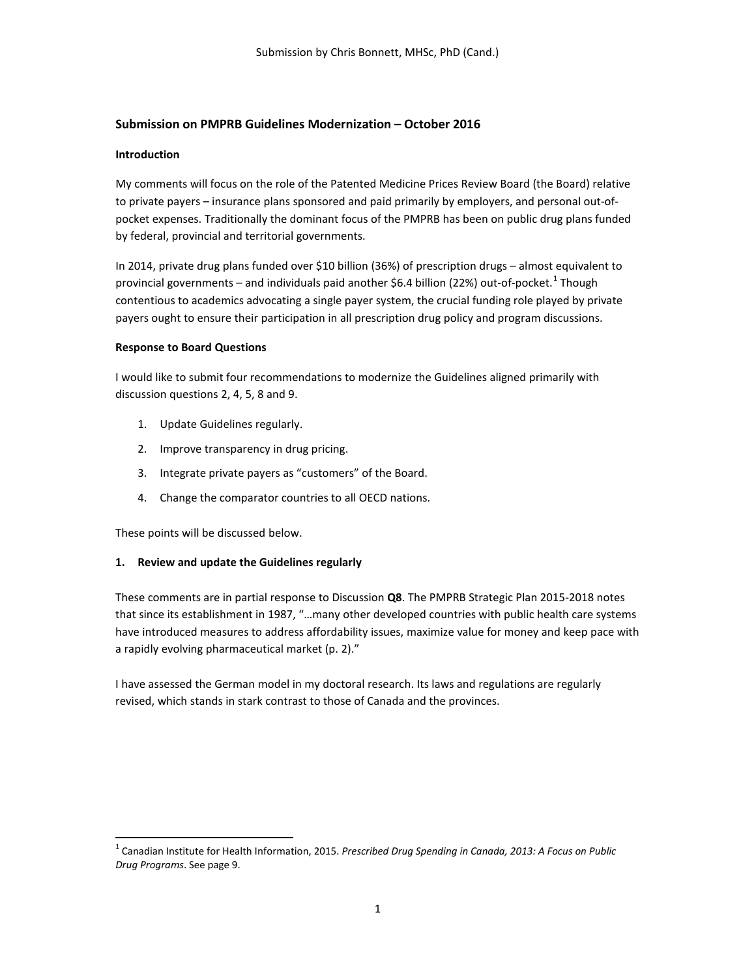# **Submission on PMPRB Guidelines Modernization – October 2016**

## **Introduction**

My comments will focus on the role of the Patented Medicine Prices Review Board (the Board) relative to private payers – insurance plans sponsored and paid primarily by employers, and personal out-ofpocket expenses. Traditionally the dominant focus of the PMPRB has been on public drug plans funded by federal, provincial and territorial governments.

In 2014, private drug plans funded over \$10 billion (36%) of prescription drugs – almost equivalent to provincial governments – and individuals paid another \$6.4 billion (22%) out-of-pocket. Though contentious to academics advocating a single payer system, the crucial funding role played by private payers ought to ensure their participation in all prescription drug policy and program discussions.

### **Response to Board Questions**

I would like to submit four recommendations to modernize the Guidelines aligned primarily with discussion questions 2, 4, 5, 8 and 9.

- 1. Update Guidelines regularly.
- 2. Improve transparency in drug pricing.
- 3. Integrate private payers as "customers" of the Board.
- 4. Change the comparator countries to all OECD nations.

These points will be discussed below.

# **1. Review and update the Guidelines regularly**

These comments are in partial response to Discussion **Q8**. The PMPRB Strategic Plan 2015-2018 notes that since its establishment in 1987, "…many other developed countries with public health care systems have introduced measures to address affordability issues, maximize value for money and keep pace with a rapidly evolving pharmaceutical market (p. 2)."

I have assessed the German model in my doctoral research. Its laws and regulations are regularly revised, which stands in stark contrast to those of Canada and the provinces.

<span id="page-0-0"></span> <sup>1</sup> Canadian Institute for Health Information, 2015. *Prescribed Drug Spending in Canada, 2013: A Focus on Public Drug Programs*. See page 9.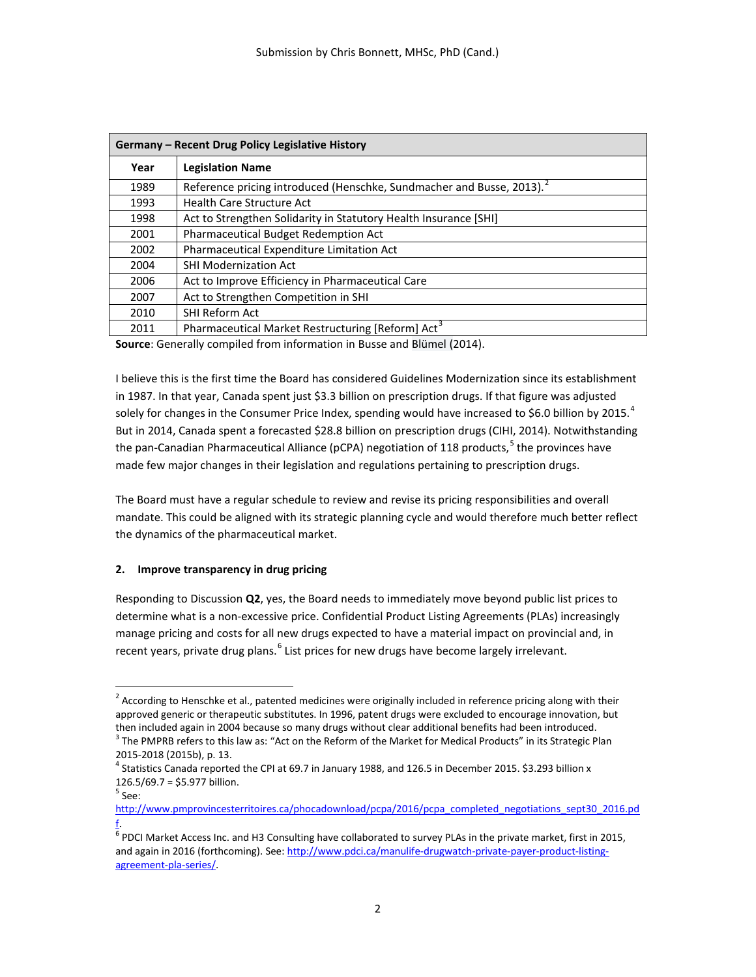| Germany - Recent Drug Policy Legislative History |                                                                      |
|--------------------------------------------------|----------------------------------------------------------------------|
| Year                                             | <b>Legislation Name</b>                                              |
| 1989                                             | Reference pricing introduced (Henschke, Sundmacher and Busse, 2013). |
| 1993                                             | <b>Health Care Structure Act</b>                                     |
| 1998                                             | Act to Strengthen Solidarity in Statutory Health Insurance [SHI]     |
| 2001                                             | <b>Pharmaceutical Budget Redemption Act</b>                          |
| 2002                                             | <b>Pharmaceutical Expenditure Limitation Act</b>                     |
| 2004                                             | <b>SHI Modernization Act</b>                                         |
| 2006                                             | Act to Improve Efficiency in Pharmaceutical Care                     |
| 2007                                             | Act to Strengthen Competition in SHI                                 |
| 2010                                             | <b>SHI Reform Act</b>                                                |
| 2011                                             | Pharmaceutical Market Restructuring [Reform] Act <sup>3</sup>        |

**Source**: Generally compiled from information in Busse and Blümel (2014).

I believe this is the first time the Board has considered Guidelines Modernization since its establishment in 1987. In that year, Canada spent just \$3.3 billion on prescription drugs. If that figure was adjusted solely for changes in the Consumer Price Index, spending would have increased to \$6.0 billion by 2015.<sup>[4](#page-1-2)</sup> But in 2014, Canada spent a forecasted \$28.8 billion on prescription drugs (CIHI, 2014). Notwithstanding the pan-Canadian Pharmaceutical Alliance (pCPA) negotiation of 118 products,<sup>[5](#page-1-3)</sup> the provinces have made few major changes in their legislation and regulations pertaining to prescription drugs.

The Board must have a regular schedule to review and revise its pricing responsibilities and overall mandate. This could be aligned with its strategic planning cycle and would therefore much better reflect the dynamics of the pharmaceutical market.

# **2. Improve transparency in drug pricing**

Responding to Discussion **Q2**, yes, the Board needs to immediately move beyond public list prices to determine what is a non-excessive price. Confidential Product Listing Agreements (PLAs) increasingly manage pricing and costs for all new drugs expected to have a material impact on provincial and, in recent years, private drug plans.<sup>[6](#page-1-4)</sup> List prices for new drugs have become largely irrelevant.

<span id="page-1-0"></span> $<sup>2</sup>$  According to Henschke et al., patented medicines were originally included in reference pricing along with their</sup> approved generic or therapeutic substitutes. In 1996, patent drugs were excluded to encourage innovation, but then included again in 2004 because so many drugs without clear additional benefits had been introduced.

<span id="page-1-1"></span> $3$  The PMPRB refers to this law as: "Act on the Reform of the Market for Medical Products" in its Strategic Plan 2015-2018 (2015b), p. 13.<br><sup>4</sup> Statistics Canada reported the CPI at 69.7 in January 1988, and 126.5 in December 2015. \$3.293 billion x

<span id="page-1-2"></span><sup>126.5/69.7 = \$5.977</sup> billion.

 $<sup>5</sup>$  See:</sup>

<span id="page-1-3"></span>[http://www.pmprovincesterritoires.ca/phocadownload/pcpa/2016/pcpa\\_completed\\_negotiations\\_sept30\\_2016.pd](http://www.pmprovincesterritoires.ca/phocadownload/pcpa/2016/pcpa_completed_negotiations_sept30_2016.pdf) [f.](http://www.pmprovincesterritoires.ca/phocadownload/pcpa/2016/pcpa_completed_negotiations_sept30_2016.pdf) 

<span id="page-1-4"></span> $^6$  PDCI Market Access Inc. and H3 Consulting have collaborated to survey PLAs in the private market, first in 2015, and again in 2016 (forthcoming). See[: http://www.pdci.ca/manulife-drugwatch-private-payer-product-listing](http://www.pdci.ca/manulife-drugwatch-private-payer-product-listing-agreement-pla-series/)[agreement-pla-series/.](http://www.pdci.ca/manulife-drugwatch-private-payer-product-listing-agreement-pla-series/)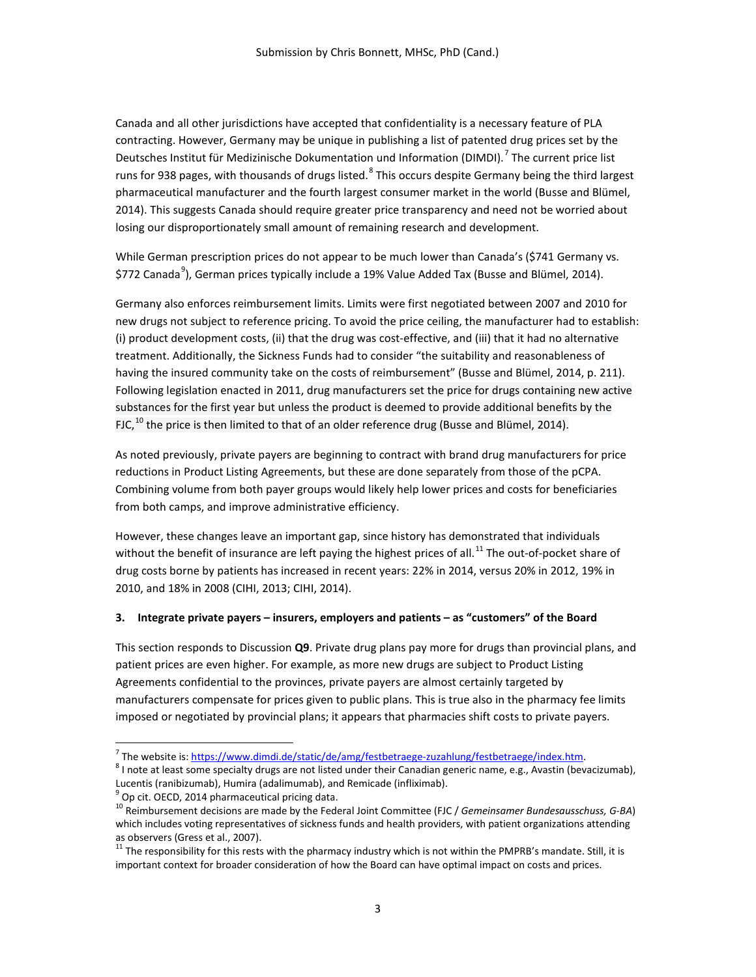Canada and all other jurisdictions have accepted that confidentiality is a necessary feature of PLA contracting. However, Germany may be unique in publishing a list of patented drug prices set by the Deutsches Institut für Medizinische Dokumentation und Information (DIMDI).<sup>[7](#page-2-0)</sup> The current price list runs for 93[8](#page-2-1) pages, with thousands of drugs listed.<sup>8</sup> This occurs despite Germany being the third largest pharmaceutical manufacturer and the fourth largest consumer market in the world (Busse and Blümel, 2014). This suggests Canada should require greater price transparency and need not be worried about losing our disproportionately small amount of remaining research and development.

While German prescription prices do not appear to be much lower than Canada's (\$741 Germany vs. \$772 Canada<sup>[9](#page-2-2)</sup>), German prices typically include a 19% Value Added Tax (Busse and Blümel, 2014).

Germany also enforces reimbursement limits. Limits were first negotiated between 2007 and 2010 for new drugs not subject to reference pricing. To avoid the price ceiling, the manufacturer had to establish: (i) product development costs, (ii) that the drug was cost-effective, and (iii) that it had no alternative treatment. Additionally, the Sickness Funds had to consider "the suitability and reasonableness of having the insured community take on the costs of reimbursement" (Busse and Blümel, 2014, p. 211). Following legislation enacted in 2011, drug manufacturers set the price for drugs containing new active substances for the first year but unless the product is deemed to provide additional benefits by the FJC,  $^{10}$  $^{10}$  $^{10}$  the price is then limited to that of an older reference drug (Busse and Blümel, 2014).

As noted previously, private payers are beginning to contract with brand drug manufacturers for price reductions in Product Listing Agreements, but these are done separately from those of the pCPA. Combining volume from both payer groups would likely help lower prices and costs for beneficiaries from both camps, and improve administrative efficiency.

However, these changes leave an important gap, since history has demonstrated that individuals without the benefit of insurance are left paying the highest prices of all.<sup>[11](#page-2-4)</sup> The out-of-pocket share of drug costs borne by patients has increased in recent years: 22% in 2014, versus 20% in 2012, 19% in 2010, and 18% in 2008 (CIHI, 2013; CIHI, 2014).

#### **3. Integrate private payers – insurers, employers and patients – as "customers" of the Board**

This section responds to Discussion **Q9**. Private drug plans pay more for drugs than provincial plans, and patient prices are even higher. For example, as more new drugs are subject to Product Listing Agreements confidential to the provinces, private payers are almost certainly targeted by manufacturers compensate for prices given to public plans. This is true also in the pharmacy fee limits imposed or negotiated by provincial plans; it appears that pharmacies shift costs to private payers.

<span id="page-2-3"></span><span id="page-2-2"></span>

<span id="page-2-1"></span><span id="page-2-0"></span>

<sup>&</sup>lt;sup>7</sup> The website is: <u>https://www.dimdi.de/static/de/amg/festbetraege-zuzahlung/festbetraege/index.htm.<br><sup>8</sup> I note at least some specialty drugs are not listed under their Canadian generic name, e.g., Avastin (bevacizumab),</u> Lucentis (ranibizumab), Humira (adalimumab), and Remicade (infliximab).

<sup>&</sup>lt;sup>9</sup> Op cit. OECD, 2014 pharmaceutical pricing data.<br><sup>10</sup> Reimbursement decisions are made by the Federal Joint Committee (FJC / *Gemeinsamer Bundesausschuss, G-BA*) which includes voting representatives of sickness funds and health providers, with patient organizations attending as observers (Gress et al., 2007).<br><sup>11</sup> The responsibility for this rests with the pharmacy industry which is not within the PMPRB's mandate. Still, it is

<span id="page-2-4"></span>important context for broader consideration of how the Board can have optimal impact on costs and prices.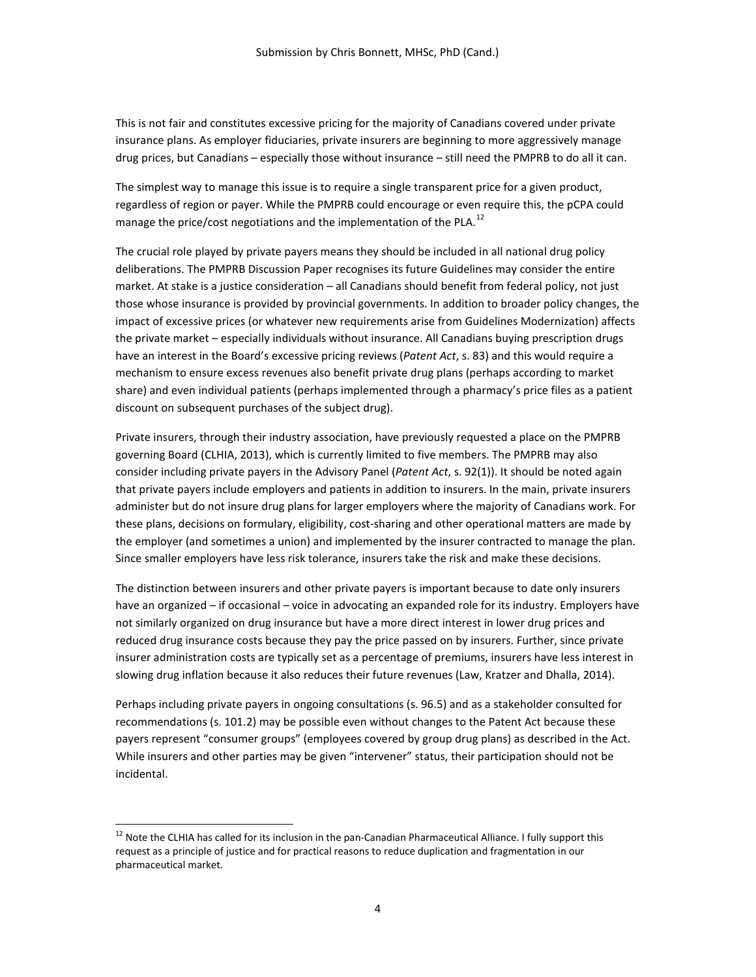This is not fair and constitutes excessive pricing for the majority of Canadians covered under private insurance plans. As employer fiduciaries, private insurers are beginning to more aggressively manage drug prices, but Canadians – especially those without insurance – still need the PMPRB to do all it can.

The simplest way to manage this issue is to require a single transparent price for a given product, regardless of region or payer. While the PMPRB could encourage or even require this, the pCPA could manage the price/cost negotiations and the implementation of the PLA. $^{12}$  $^{12}$  $^{12}$ 

The crucial role played by private payers means they should be included in all national drug policy deliberations. The PMPRB Discussion Paper recognises its future Guidelines may consider the entire market. At stake is a justice consideration – all Canadians should benefit from federal policy, not just those whose insurance is provided by provincial governments. In addition to broader policy changes, the impact of excessive prices (or whatever new requirements arise from Guidelines Modernization) affects the private market – especially individuals without insurance. All Canadians buying prescription drugs have an interest in the Board's excessive pricing reviews (*Patent Act*, s. 83) and this would require a mechanism to ensure excess revenues also benefit private drug plans (perhaps according to market share) and even individual patients (perhaps implemented through a pharmacy's price files as a patient discount on subsequent purchases of the subject drug).

Private insurers, through their industry association, have previously requested a place on the PMPRB governing Board (CLHIA, 2013), which is currently limited to five members. The PMPRB may also consider including private payers in the Advisory Panel (*Patent Act*, s. 92(1)). It should be noted again that private payers include employers and patients in addition to insurers. In the main, private insurers administer but do not insure drug plans for larger employers where the majority of Canadians work. For these plans, decisions on formulary, eligibility, cost-sharing and other operational matters are made by the employer (and sometimes a union) and implemented by the insurer contracted to manage the plan. Since smaller employers have less risk tolerance, insurers take the risk and make these decisions.

The distinction between insurers and other private payers is important because to date only insurers have an organized – if occasional – voice in advocating an expanded role for its industry. Employers have not similarly organized on drug insurance but have a more direct interest in lower drug prices and reduced drug insurance costs because they pay the price passed on by insurers. Further, since private insurer administration costs are typically set as a percentage of premiums, insurers have less interest in slowing drug inflation because it also reduces their future revenues (Law, Kratzer and Dhalla, 2014).

Perhaps including private payers in ongoing consultations (s. 96.5) and as a stakeholder consulted for recommendations (s. 101.2) may be possible even without changes to the Patent Act because these payers represent "consumer groups" (employees covered by group drug plans) as described in the Act. While insurers and other parties may be given "intervener" status, their participation should not be incidental.

<span id="page-3-0"></span><sup>&</sup>lt;sup>12</sup> Note the CLHIA has called for its inclusion in the pan-Canadian Pharmaceutical Alliance. I fully support this request as a principle of justice and for practical reasons to reduce duplication and fragmentation in our pharmaceutical market.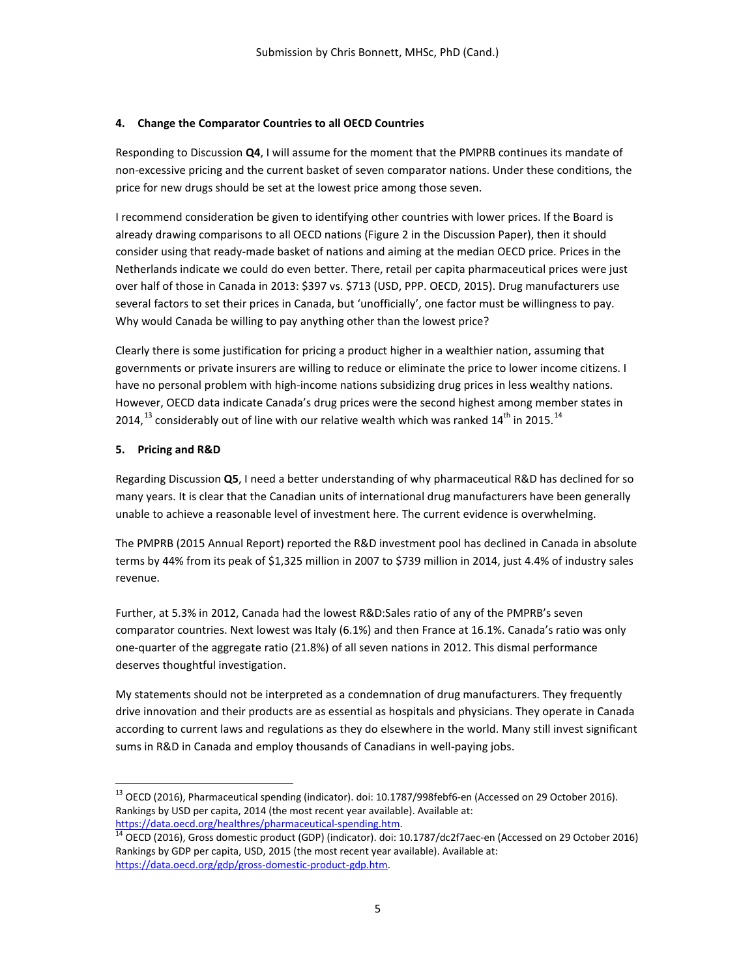## **4. Change the Comparator Countries to all OECD Countries**

Responding to Discussion **Q4**, I will assume for the moment that the PMPRB continues its mandate of non-excessive pricing and the current basket of seven comparator nations. Under these conditions, the price for new drugs should be set at the lowest price among those seven.

I recommend consideration be given to identifying other countries with lower prices. If the Board is already drawing comparisons to all OECD nations (Figure 2 in the Discussion Paper), then it should consider using that ready-made basket of nations and aiming at the median OECD price. Prices in the Netherlands indicate we could do even better. There, retail per capita pharmaceutical prices were just over half of those in Canada in 2013: \$397 vs. \$713 (USD, PPP. OECD, 2015). Drug manufacturers use several factors to set their prices in Canada, but 'unofficially', one factor must be willingness to pay. Why would Canada be willing to pay anything other than the lowest price?

Clearly there is some justification for pricing a product higher in a wealthier nation, assuming that governments or private insurers are willing to reduce or eliminate the price to lower income citizens. I have no personal problem with high-income nations subsidizing drug prices in less wealthy nations. However, OECD data indicate Canada's drug prices were the second highest among member states in 20[14](#page-4-1),  $^{13}$  $^{13}$  $^{13}$  considerably out of line with our relative wealth which was ranked 14<sup>th</sup> in 2015.  $^{14}$ 

### **5. Pricing and R&D**

Regarding Discussion **Q5**, I need a better understanding of why pharmaceutical R&D has declined for so many years. It is clear that the Canadian units of international drug manufacturers have been generally unable to achieve a reasonable level of investment here. The current evidence is overwhelming.

The PMPRB (2015 Annual Report) reported the R&D investment pool has declined in Canada in absolute terms by 44% from its peak of \$1,325 million in 2007 to \$739 million in 2014, just 4.4% of industry sales revenue.

Further, at 5.3% in 2012, Canada had the lowest R&D:Sales ratio of any of the PMPRB's seven comparator countries. Next lowest was Italy (6.1%) and then France at 16.1%. Canada's ratio was only one-quarter of the aggregate ratio (21.8%) of all seven nations in 2012. This dismal performance deserves thoughtful investigation.

My statements should not be interpreted as a condemnation of drug manufacturers. They frequently drive innovation and their products are as essential as hospitals and physicians. They operate in Canada according to current laws and regulations as they do elsewhere in the world. Many still invest significant sums in R&D in Canada and employ thousands of Canadians in well-paying jobs.

<span id="page-4-0"></span><sup>&</sup>lt;sup>13</sup> OECD (2016), Pharmaceutical spending (indicator). doi: 10.1787/998febf6-en (Accessed on 29 October 2016). Rankings by USD per capita, 2014 (the most recent year available). Available at:

<span id="page-4-1"></span>[https://data.oecd.org/healthres/pharmaceutical-spending.htm.](https://data.oecd.org/healthres/pharmaceutical-spending.htm)<br><sup>[14](https://data.oecd.org/healthres/pharmaceutical-spending.htm)</sup> OECD (2016), Gross domestic product (GDP) (indicator). doi: 10.1787/dc2f7aec-en (Accessed on 29 October 2016) Rankings by GDP per capita, USD, 2015 (the most recent year available). Available at: [https://data.oecd.org/gdp/gross-domestic-product-gdp.htm.](https://data.oecd.org/gdp/gross-domestic-product-gdp.htm)